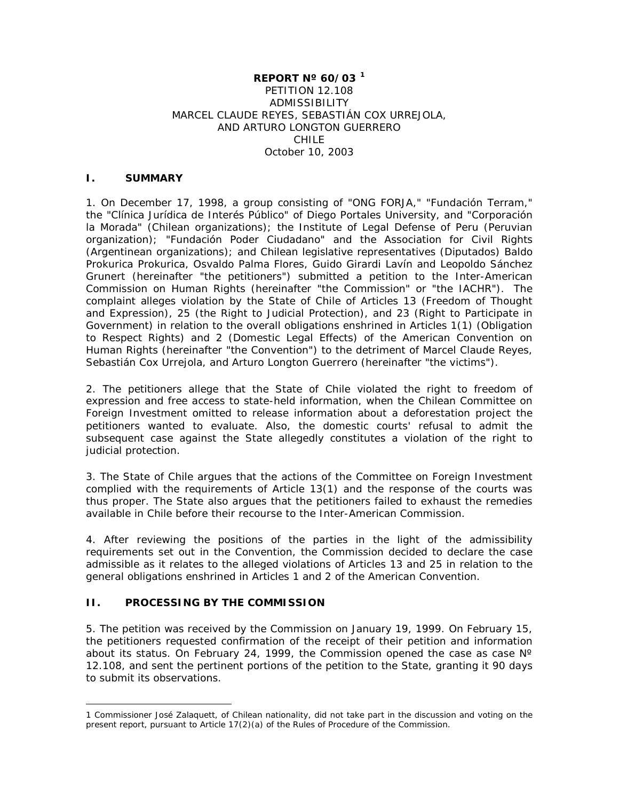#### **REPORT Nº 60/03 [1](#page-0-0)** PETITION 12.108 ADMISSIBILITY MARCEL CLAUDE REYES, SEBASTIÁN COX URREJOLA, AND ARTURO LONGTON GUERRERO CHILE October 10, 2003

#### **I. SUMMARY**

1. On December 17, 1998, a group consisting of "ONG FORJA," "*Fundación Terram*," the "*Clínica Jurídica de Interés Público*" of Diego Portales University, and "Corporación la Morada" (Chilean organizations); the Institute of Legal Defense of Peru (Peruvian organization); "*Fundación Poder Ciudadano*" and the Association for Civil Rights (Argentinean organizations); and Chilean legislative representatives (*Diputados*) Baldo Prokurica Prokurica, Osvaldo Palma Flores, Guido Girardi Lavín and Leopoldo Sánchez Grunert (hereinafter "the petitioners") submitted a petition to the Inter-American Commission on Human Rights (hereinafter "the Commission" or "the IACHR"). The complaint alleges violation by the State of Chile of Articles 13 (Freedom of Thought and Expression), 25 (the Right to Judicial Protection), and 23 (Right to Participate in Government) in relation to the overall obligations enshrined in Articles 1(1) (Obligation to Respect Rights) and 2 (Domestic Legal Effects) of the American Convention on Human Rights (hereinafter "the Convention") to the detriment of Marcel Claude Reyes, Sebastián Cox Urrejola, and Arturo Longton Guerrero (hereinafter "the victims").

2. The petitioners allege that the State of Chile violated the right to freedom of expression and free access to state-held information, when the Chilean Committee on Foreign Investment omitted to release information about a deforestation project the petitioners wanted to evaluate. Also, the domestic courts' refusal to admit the subsequent case against the State allegedly constitutes a violation of the right to judicial protection.

3. The State of Chile argues that the actions of the Committee on Foreign Investment complied with the requirements of Article 13(1) and the response of the courts was thus proper. The State also argues that the petitioners failed to exhaust the remedies available in Chile before their recourse to the Inter-American Commission.

4. After reviewing the positions of the parties in the light of the admissibility requirements set out in the Convention, the Commission decided to declare the case admissible as it relates to the alleged violations of Articles 13 and 25 in relation to the general obligations enshrined in Articles 1 and 2 of the American Convention.

### **II. PROCESSING BY THE COMMISSION**

 $\overline{\phantom{a}}$ 

5. The petition was received by the Commission on January 19, 1999. On February 15, the petitioners requested confirmation of the receipt of their petition and information about its status. On February 24, 1999, the Commission opened the case as case  $N^{\circ}$ 12.108, and sent the pertinent portions of the petition to the State, granting it 90 days to submit its observations.

<span id="page-0-0"></span><sup>1</sup> Commissioner José Zalaquett, of Chilean nationality, did not take part in the discussion and voting on the present report, pursuant to Article 17(2)(a) of the Rules of Procedure of the Commission.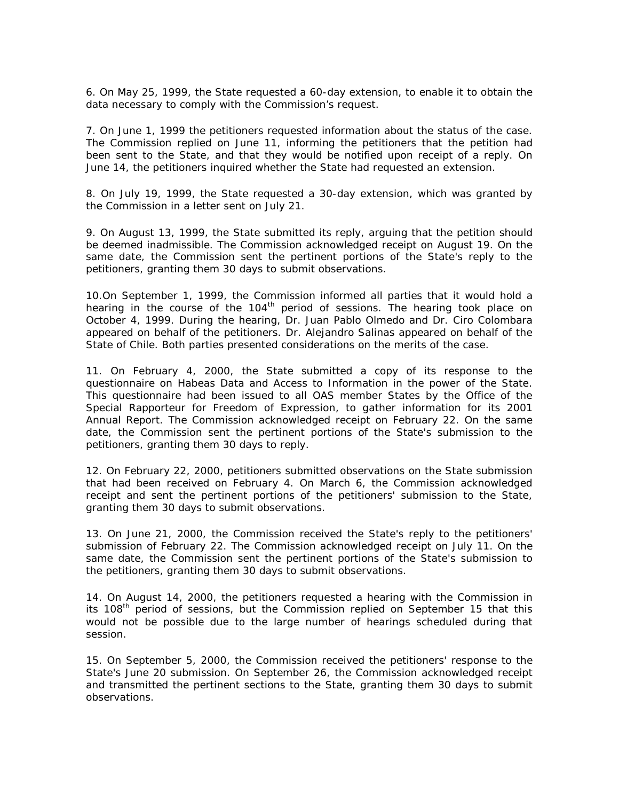6. On May 25, 1999, the State requested a 60-day extension, to enable it to obtain the data necessary to comply with the Commission's request.

7. On June 1, 1999 the petitioners requested information about the status of the case. The Commission replied on June 11, informing the petitioners that the petition had been sent to the State, and that they would be notified upon receipt of a reply. On June 14, the petitioners inquired whether the State had requested an extension.

8. On July 19, 1999, the State requested a 30-day extension, which was granted by the Commission in a letter sent on July 21.

9. On August 13, 1999, the State submitted its reply, arguing that the petition should be deemed inadmissible. The Commission acknowledged receipt on August 19. On the same date, the Commission sent the pertinent portions of the State's reply to the petitioners, granting them 30 days to submit observations.

10.On September 1, 1999, the Commission informed all parties that it would hold a hearing in the course of the 104<sup>th</sup> period of sessions. The hearing took place on October 4, 1999. During the hearing, Dr. Juan Pablo Olmedo and Dr. Ciro Colombara appeared on behalf of the petitioners. Dr. Alejandro Salinas appeared on behalf of the State of Chile. Both parties presented considerations on the merits of the case.

11. On February 4, 2000, the State submitted a copy of its response to the questionnaire on *Habeas Data* and Access to Information in the power of the State. This questionnaire had been issued to all OAS member States by the Office of the Special Rapporteur for Freedom of Expression, to gather information for its 2001 Annual Report. The Commission acknowledged receipt on February 22. On the same date, the Commission sent the pertinent portions of the State's submission to the petitioners, granting them 30 days to reply.

12. On February 22, 2000, petitioners submitted observations on the State submission that had been received on February 4. On March 6, the Commission acknowledged receipt and sent the pertinent portions of the petitioners' submission to the State, granting them 30 days to submit observations.

13. On June 21, 2000, the Commission received the State's reply to the petitioners' submission of February 22. The Commission acknowledged receipt on July 11. On the same date, the Commission sent the pertinent portions of the State's submission to the petitioners, granting them 30 days to submit observations.

14. On August 14, 2000, the petitioners requested a hearing with the Commission in its  $108<sup>th</sup>$  period of sessions, but the Commission replied on September 15 that this would not be possible due to the large number of hearings scheduled during that session.

15. On September 5, 2000, the Commission received the petitioners' response to the State's June 20 submission. On September 26, the Commission acknowledged receipt and transmitted the pertinent sections to the State, granting them 30 days to submit observations.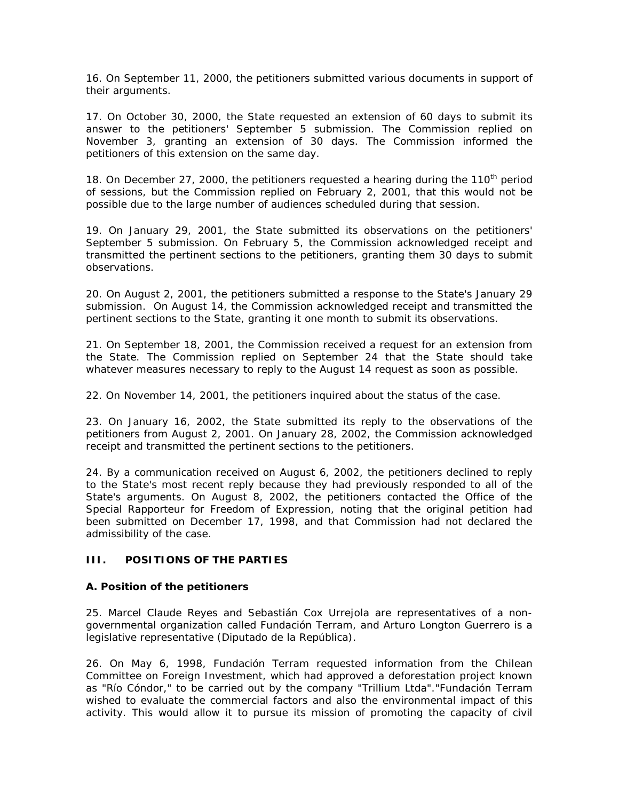16. On September 11, 2000, the petitioners submitted various documents in support of their arguments.

17. On October 30, 2000, the State requested an extension of 60 days to submit its answer to the petitioners' September 5 submission. The Commission replied on November 3, granting an extension of 30 days. The Commission informed the petitioners of this extension on the same day.

18. On December 27, 2000, the petitioners requested a hearing during the 110<sup>th</sup> period of sessions, but the Commission replied on February 2, 2001, that this would not be possible due to the large number of audiences scheduled during that session.

19. On January 29, 2001, the State submitted its observations on the petitioners' September 5 submission. On February 5, the Commission acknowledged receipt and transmitted the pertinent sections to the petitioners, granting them 30 days to submit observations.

20. On August 2, 2001, the petitioners submitted a response to the State's January 29 submission. On August 14, the Commission acknowledged receipt and transmitted the pertinent sections to the State, granting it one month to submit its observations.

21. On September 18, 2001, the Commission received a request for an extension from the State. The Commission replied on September 24 that the State should take whatever measures necessary to reply to the August 14 request as soon as possible.

22. On November 14, 2001, the petitioners inquired about the status of the case.

23. On January 16, 2002, the State submitted its reply to the observations of the petitioners from August 2, 2001. On January 28, 2002, the Commission acknowledged receipt and transmitted the pertinent sections to the petitioners.

24. By a communication received on August 6, 2002, the petitioners declined to reply to the State's most recent reply because they had previously responded to all of the State's arguments. On August 8, 2002, the petitioners contacted the Office of the Special Rapporteur for Freedom of Expression, noting that the original petition had been submitted on December 17, 1998, and that Commission had not declared the admissibility of the case.

### **III. POSITIONS OF THE PARTIES**

### **A. Position of the petitioners**

25. Marcel Claude Reyes and Sebastián Cox Urrejola are representatives of a nongovernmental organization called *Fundación Terram*, and Arturo Longton Guerrero is a legislative representative (*Diputado de la República*).

26. On May 6, 1998, *Fundación Terram* requested information from the Chilean Committee on Foreign Investment, which had approved a deforestation project known as "*Río Cóndor*," to be carried out by the company "Trillium Ltda"."*Fundación Terram*  wished to evaluate the commercial factors and also the environmental impact of this activity. This would allow it to pursue its mission of promoting the capacity of civil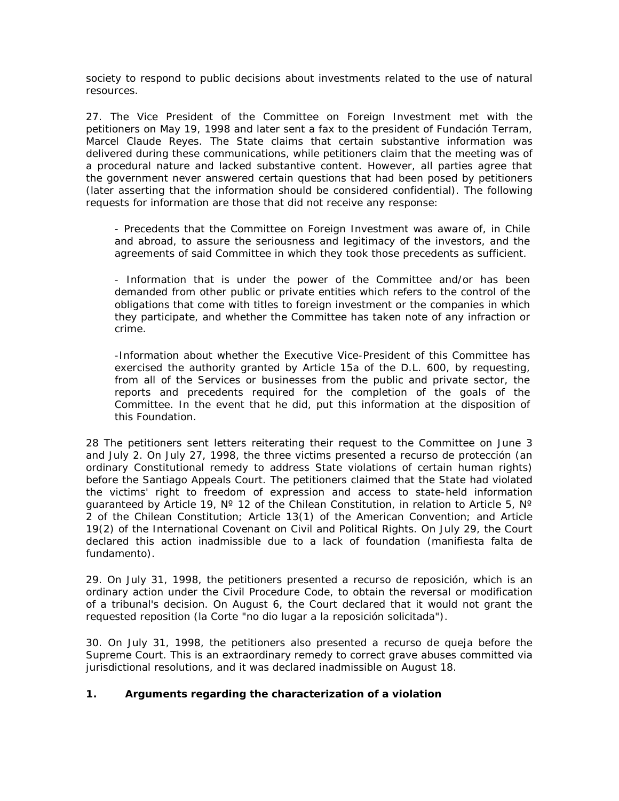society to respond to public decisions about investments related to the use of natural resources.

27. The Vice President of the Committee on Foreign Investment met with the petitioners on May 19, 1998 and later sent a fax to the president of *Fundación Terram*, Marcel Claude Reyes. The State claims that certain substantive information was delivered during these communications, while petitioners claim that the meeting was of a procedural nature and lacked substantive content. However, all parties agree that the government never answered certain questions that had been posed by petitioners (later asserting that the information should be considered confidential). The following requests for information are those that did not receive any response:

- Precedents that the Committee on Foreign Investment was aware of, in Chile and abroad, to assure the seriousness and legitimacy of the investors, and the agreements of said Committee in which they took those precedents as sufficient.

- Information that is under the power of the Committee and/or has been demanded from other public or private entities which refers to the control of the obligations that come with titles to foreign investment or the companies in which they participate, and whether the Committee has taken note of any infraction or crime.

-Information about whether the Executive Vice-President of this Committee has exercised the authority granted by Article 15a of the D.L. 600, by requesting, from all of the Services or businesses from the public and private sector, the reports and precedents required for the completion of the goals of the Committee. In the event that he did, put this information at the disposition of this Foundation.

28 The petitioners sent letters reiterating their request to the Committee on June 3 and July 2. On July 27, 1998, the three victims presented a *recurso de protección* (an ordinary Constitutional remedy to address State violations of certain human rights) before the Santiago Appeals Court. The petitioners claimed that the State had violated the victims' right to freedom of expression and access to state-held information guaranteed by Article 19,  $N^{\circ}$  12 of the Chilean Constitution, in relation to Article 5,  $N^{\circ}$ 2 of the Chilean Constitution; Article 13(1) of the American Convention; and Article 19(2) of the International Covenant on Civil and Political Rights. On July 29, the Court declared this action inadmissible due to a lack of foundation (*manifiesta falta de fundamento*).

29. On July 31, 1998, the petitioners presented a *recurso de reposición*, which is an ordinary action under the Civil Procedure Code, to obtain the reversal or modification of a tribunal's decision. On August 6, the Court declared that it would not grant the requested reposition (*la Corte "no dio lugar a la reposición solicitada"*).

30. On July 31, 1998, the petitioners also presented a *recurso de queja* before the Supreme Court. This is an extraordinary remedy to correct grave abuses committed via jurisdictional resolutions, and it was declared inadmissible on August 18.

### **1. Arguments regarding the characterization of a violation**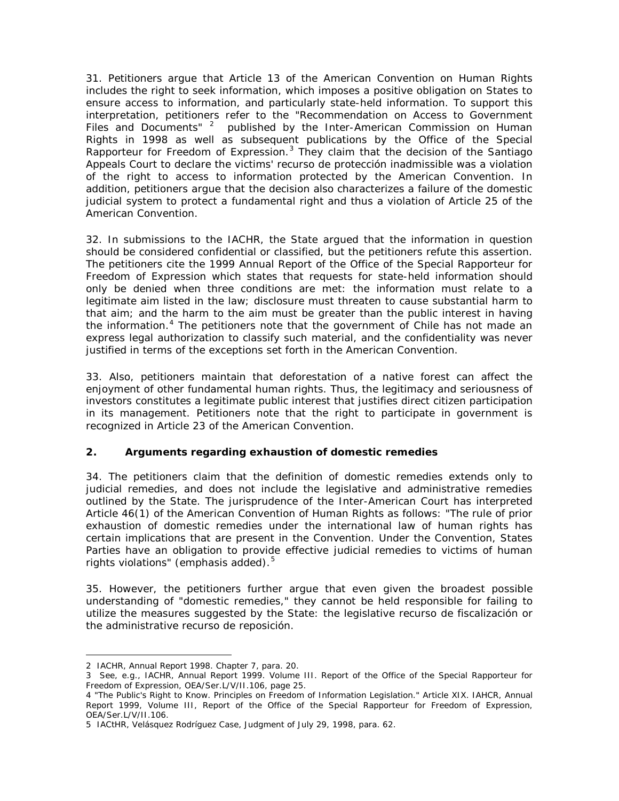31. Petitioners argue that Article 13 of the American Convention on Human Rights includes the right to seek information, which imposes a positive obligation on States to ensure access to information, and particularly state-held information. To support this interpretation, petitioners refer to the "Recommendation on Access to Government Files and Documents"  $2^2$  $2^2$  published by the Inter-American Commission on Human Rights in 1998 as well as subsequent publications by the Office of the Special Rapporteur for Freedom of Expression.<sup>[3](#page-4-1)</sup> They claim that the decision of the Santiago Appeals Court to declare the victims' *recurso de protección* inadmissible was a violation of the right to access to information protected by the American Convention. In addition, petitioners argue that the decision also characterizes a failure of the domestic judicial system to protect a fundamental right and thus a violation of Article 25 of the American Convention.

32. In submissions to the IACHR, the State argued that the information in question should be considered confidential or classified, but the petitioners refute this assertion. The petitioners cite the 1999 Annual Report of the Office of the Special Rapporteur for Freedom of Expression which states that requests for state-held information should only be denied when three conditions are met: the information must relate to a legitimate aim listed in the law; disclosure must threaten to cause substantial harm to that aim; and the harm to the aim must be greater than the public interest in having the information.<sup>[4](#page-4-2)</sup> The petitioners note that the government of Chile has not made an express legal authorization to classify such material, and the confidentiality was never justified in terms of the exceptions set forth in the American Convention.

33. Also, petitioners maintain that deforestation of a native forest can affect the enjoyment of other fundamental human rights. Thus, the legitimacy and seriousness of investors constitutes a legitimate public interest that justifies direct citizen participation in its management. Petitioners note that the right to participate in government is recognized in Article 23 of the American Convention.

### **2. Arguments regarding exhaustion of domestic remedies**

34. The petitioners claim that the definition of domestic remedies extends only to judicial remedies, and does not include the legislative and administrative remedies outlined by the State. The jurisprudence of the Inter-American Court has interpreted Article 46(1) of the American Convention of Human Rights as follows: "The rule of prior exhaustion of domestic remedies under the international law of human rights has certain implications that are present in the Convention. Under the Convention, States Parties have an obligation to provide effective judicial remedies to victims of human rights violations" (emphasis added).<sup>[5](#page-4-3)</sup>

35. However, the petitioners further argue that even given the broadest possible understanding of "domestic remedies," they cannot be held responsible for failing to utilize the measures suggested by the State: the legislative *recurso de fiscalización* or the administrative *recurso de reposición*.

**.** 

<span id="page-4-0"></span><sup>2</sup> IACHR, Annual Report 1998. Chapter 7, para. 20.

<span id="page-4-1"></span><sup>3</sup> See, e.g., IACHR, Annual Report 1999. Volume III. Report of the Office of the Special Rapporteur for Freedom of Expression, OEA/Ser.L/V/II.106, page 25.

<span id="page-4-2"></span><sup>4</sup> "The Public's Right to Know. Principles on Freedom of Information Legislation." Article XIX. IAHCR, Annual Report 1999, Volume III, Report of the Office of the Special Rapporteur for Freedom of Expression, OEA/Ser.L/V/II.106.

<span id="page-4-3"></span><sup>5</sup> IACtHR, *Velásquez Rodríguez Case*, Judgment of July 29, 1998, para. 62.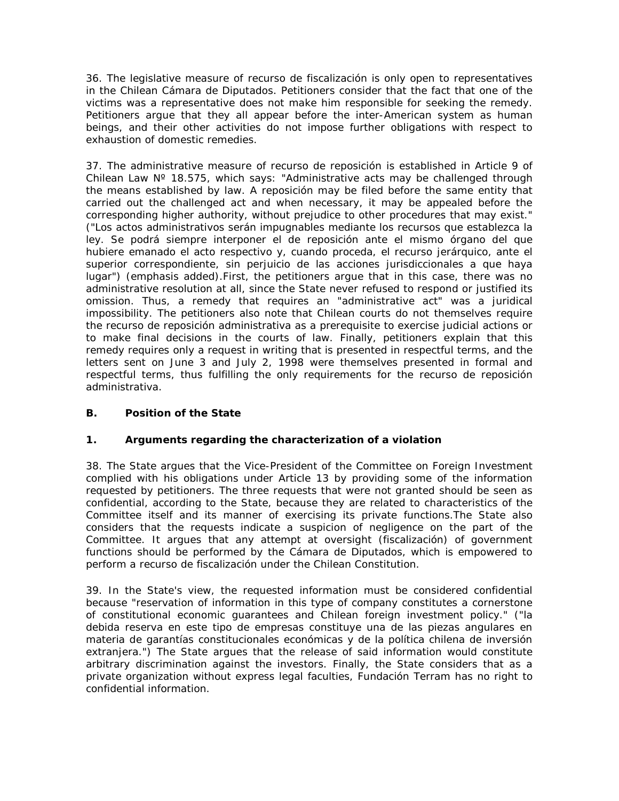36. The legislative measure of *recurso de fiscalización* is only open to representatives in the Chilean *Cámara de Diputados*. Petitioners consider that the fact that one of the victims was a representative does not make him responsible for seeking the remedy. Petitioners argue that they all appear before the inter-American system as human beings, and their other activities do not impose further obligations with respect to exhaustion of domestic remedies.

37. The administrative measure of *recurso de reposición* is established in Article 9 of Chilean Law Nº 18.575, which says: "Administrative acts may be challenged through the means established by law. A *reposición* may be filed before the same entity that carried out the challenged act and when necessary, it may be appealed before the corresponding higher authority, without prejudice to other procedures that may exist." ("*Los actos administrativos serán impugnables mediante los recursos que establezca la ley. Se podrá siempre interponer el de reposición ante el mismo órgano del que hubiere emanado el acto respectivo y, cuando proceda, el recurso jerárquico, ante el superior correspondiente, sin perjuicio de las acciones jurisdiccionales a que haya lugar"*) (emphasis added).First, the petitioners argue that in this case, there was no administrative resolution at all, since the State never refused to respond or justified its omission. Thus, a remedy that requires an "administrative act" was a juridical impossibility. The petitioners also note that Chilean courts do not themselves require the *recurso de reposición administrativa* as a prerequisite to exercise judicial actions or to make final decisions in the courts of law. Finally, petitioners explain that this remedy requires only a request in writing that is presented in respectful terms, and the letters sent on June 3 and July 2, 1998 were themselves presented in formal and respectful terms, thus fulfilling the only requirements for the *recurso de reposición administrativa*.

# **B. Position of the State**

### **1. Arguments regarding the characterization of a violation**

38. The State argues that the Vice-President of the Committee on Foreign Investment complied with his obligations under Article 13 by providing some of the information requested by petitioners. The three requests that were not granted should be seen as confidential, according to the State, because they are related to characteristics of the Committee itself and its manner of exercising its private functions.The State also considers that the requests indicate a suspicion of negligence on the part of the Committee. It argues that any attempt at oversight (*fiscalización*) of government functions should be performed by the *Cámara de Diputados*, which is empowered to perform a *recurso de fiscalización* under the Chilean Constitution.

39. In the State's view, the requested information must be considered confidential because "reservation of information in this type of company constitutes a cornerstone of constitutional economic guarantees and Chilean foreign investment policy." ("*la debida reserva en este tipo de empresas constituye una de las piezas angulares en materia de garantías constitucionales económicas y de la política chilena de inversión extranjera*.") The State argues that the release of said information would constitute arbitrary discrimination against the investors. Finally, the State considers that as a private organization without express legal faculties, *Fundación Terram* has no right to confidential information.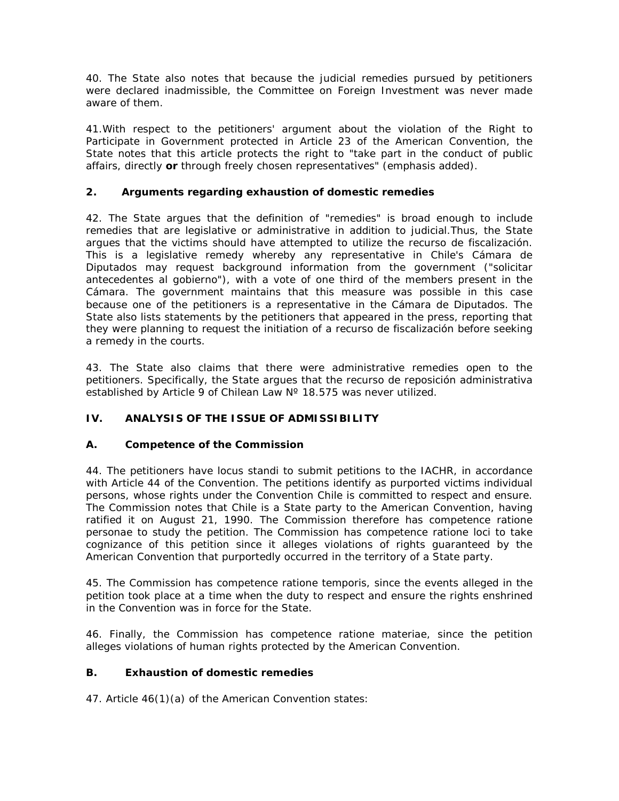40. The State also notes that because the judicial remedies pursued by petitioners were declared inadmissible, the Committee on Foreign Investment was never made aware of them.

41.With respect to the petitioners' argument about the violation of the Right to Participate in Government protected in Article 23 of the American Convention, the State notes that this article protects the right to "take part in the conduct of public affairs, directly **or** through freely chosen representatives" (emphasis added).

## **2. Arguments regarding exhaustion of domestic remedies**

42. The State argues that the definition of "remedies" is broad enough to include remedies that are legislative or administrative in addition to judicial.Thus, the State argues that the victims should have attempted to utilize the *recurso de fiscalización*. This is a legislative remedy whereby any representative in Chile's *Cámara de Diputados* may request background information from the government ("*solicitar antecedentes al gobierno*"), with a vote of one third of the members present in the *Cámara*. The government maintains that this measure was possible in this case because one of the petitioners is a representative in the *Cámara de Diputados*. The State also lists statements by the petitioners that appeared in the press, reporting that they were planning to request the initiation of a *recurso de fiscalización* before seeking a remedy in the courts.

43. The State also claims that there were administrative remedies open to the petitioners. Specifically, the State argues that the *recurso de reposición administrativa*  established by Article 9 of Chilean Law N° 18.575 was never utilized.

# **IV. ANALYSIS OF THE ISSUE OF ADMISSIBILITY**

# **A. Competence of the Commission**

44. The petitioners have *locus standi* to submit petitions to the IACHR, in accordance with Article 44 of the Convention. The petitions identify as purported victims individual persons, whose rights under the Convention Chile is committed to respect and ensure. The Commission notes that Chile is a State party to the American Convention, having ratified it on August 21, 1990. The Commission therefore has competence *ratione personae* to study the petition. The Commission has competence *ratione loci* to take cognizance of this petition since it alleges violations of rights guaranteed by the American Convention that purportedly occurred in the territory of a State party.

45. The Commission has competence *ratione temporis*, since the events alleged in the petition took place at a time when the duty to respect and ensure the rights enshrined in the Convention was in force for the State.

46. Finally, the Commission has competence *ratione materiae*, since the petition alleges violations of human rights protected by the American Convention.

### **B. Exhaustion of domestic remedies**

47. Article 46(1)(a) of the American Convention states: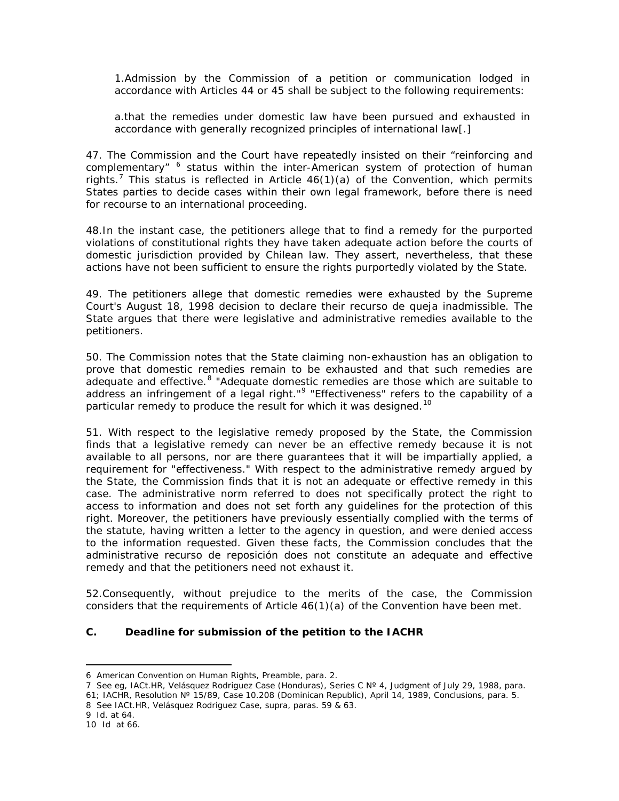1.Admission by the Commission of a petition or communication lodged in accordance with Articles 44 or 45 shall be subject to the following requirements:

a.that the remedies under domestic law have been pursued and exhausted in accordance with generally recognized principles of international law[.]

47. The Commission and the Court have repeatedly insisted on their "reinforcing and complementary"  $\delta$  status within the inter-American system of protection of human rights.<sup>[7](#page-7-1)</sup> This status is reflected in Article  $46(1)(a)$  of the Convention, which permits States parties to decide cases within their own legal framework, before there is need for recourse to an international proceeding.

48.In the instant case, the petitioners allege that to find a remedy for the purported violations of constitutional rights they have taken adequate action before the courts of domestic jurisdiction provided by Chilean law. They assert, nevertheless, that these actions have not been sufficient to ensure the rights purportedly violated by the State.

49. The petitioners allege that domestic remedies were exhausted by the Supreme Court's August 18, 1998 decision to declare their *recurso de queja* inadmissible. The State argues that there were legislative and administrative remedies available to the petitioners.

50. The Commission notes that the State claiming non-exhaustion has an obligation to prove that domestic remedies remain to be exhausted and that such remedies are adequate and effective.<sup>[8](#page-7-2)</sup> "Adequate domestic remedies are those which are suitable to address an infringement of a legal right."<sup>[9](#page-7-3)</sup> "Effectiveness" refers to the capability of a particular remedy to produce the result for which it was designed.<sup>[10](#page-7-4)</sup>

51. With respect to the legislative remedy proposed by the State, the Commission finds that a legislative remedy can never be an effective remedy because it is not available to all persons, nor are there guarantees that it will be impartially applied, a requirement for "effectiveness." With respect to the administrative remedy argued by the State, the Commission finds that it is not an adequate or effective remedy in this case. The administrative norm referred to does not specifically protect the right to access to information and does not set forth any guidelines for the protection of this right. Moreover, the petitioners have previously essentially complied with the terms of the statute, having written a letter to the agency in question, and were denied access to the information requested. Given these facts, the Commission concludes that the administrative *recurso de reposición* does not constitute an adequate and effective remedy and that the petitioners need not exhaust it.

52.Consequently, without prejudice to the merits of the case, the Commission considers that the requirements of Article  $46(1)(a)$  of the Convention have been met.

### **C. Deadline for submission of the petition to the IACHR**

<span id="page-7-4"></span><span id="page-7-3"></span>9 *Id*. at 64.

**.** 

<span id="page-7-0"></span><sup>6</sup> American Convention on Human Rights, Preamble, para. 2.

<span id="page-7-1"></span><sup>7</sup> See eg, IACt.HR, *Velásquez Rodriguez Case* (Honduras), Series C Nº 4, Judgment of July 29, 1988, para. 61; IACHR, Resolution Nº 15/89, Case 10.208 (Dominican Republic), April 14, 1989, Conclusions, para. 5.

<span id="page-7-2"></span><sup>8</sup> See IACt.HR, *Velásquez Rodriguez Case*, *supra*, paras. 59 & 63.

<sup>10</sup> *Id* at 66.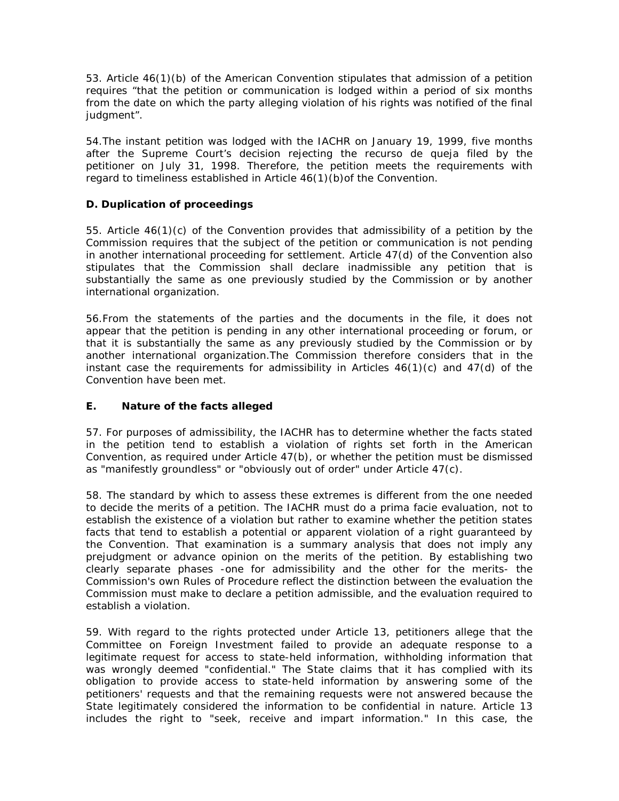53. Article 46(1)(b) of the American Convention stipulates that admission of a petition requires "that the petition or communication is lodged within a period of six months from the date on which the party alleging violation of his rights was notified of the final judgment".

54.The instant petition was lodged with the IACHR on January 19, 1999, five months after the Supreme Court's decision rejecting the *recurso de queja* filed by the petitioner on July 31, 1998. Therefore, the petition meets the requirements with regard to timeliness established in Article 46(1)(b)of the Convention.

## **D. Duplication of proceedings**

55. Article 46(1)(c) of the Convention provides that admissibility of a petition by the Commission requires that the subject of the petition or communication is not pending in another international proceeding for settlement. Article 47(d) of the Convention also stipulates that the Commission shall declare inadmissible any petition that is substantially the same as one previously studied by the Commission or by another international organization.

56.From the statements of the parties and the documents in the file, it does not appear that the petition is pending in any other international proceeding or forum, or that it is substantially the same as any previously studied by the Commission or by another international organization.The Commission therefore considers that in the instant case the requirements for admissibility in Articles 46(1)(c) and 47(d) of the Convention have been met.

## **E. Nature of the facts alleged**

57. For purposes of admissibility, the IACHR has to determine whether the facts stated in the petition tend to establish a violation of rights set forth in the American Convention, as required under Article 47(b), or whether the petition must be dismissed as "manifestly groundless" or "obviously out of order" under Article 47(c).

58. The standard by which to assess these extremes is different from the one needed to decide the merits of a petition. The IACHR must do a *prima facie* evaluation, not to establish the existence of a violation but rather to examine whether the petition states facts that tend to establish a potential or apparent violation of a right guaranteed by the Convention. That examination is a summary analysis that does not imply any prejudgment or advance opinion on the merits of the petition. By establishing two clearly separate phases -one for admissibility and the other for the merits- the Commission's own Rules of Procedure reflect the distinction between the evaluation the Commission must make to declare a petition admissible, and the evaluation required to establish a violation.

59. With regard to the rights protected under Article 13, petitioners allege that the Committee on Foreign Investment failed to provide an adequate response to a legitimate request for access to state-held information, withholding information that was wrongly deemed "confidential." The State claims that it has complied with its obligation to provide access to state-held information by answering some of the petitioners' requests and that the remaining requests were not answered because the State legitimately considered the information to be confidential in nature. Article 13 includes the right to "seek, receive and impart information." In this case, the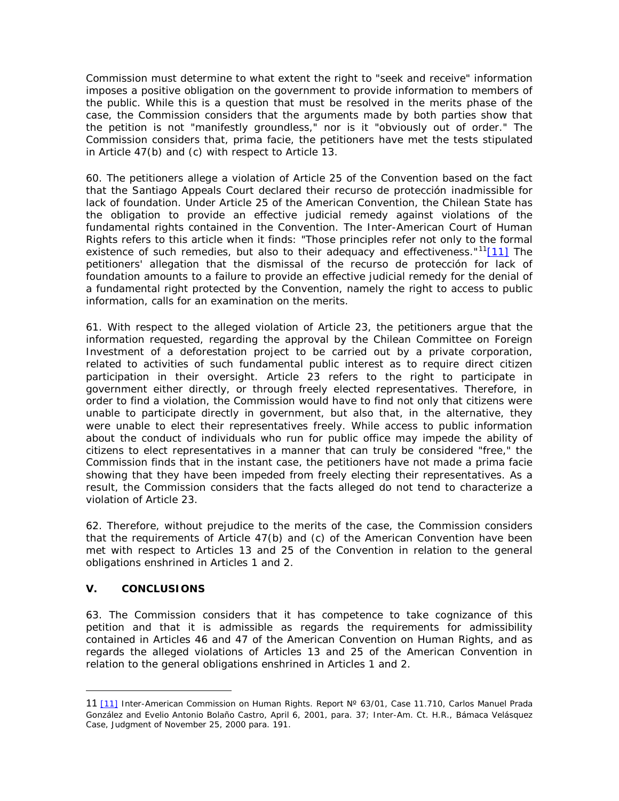Commission must determine to what extent the right to "seek and receive" information imposes a positive obligation on the government to provide information to members of the public. While this is a question that must be resolved in the merits phase of the case, the Commission considers that the arguments made by both parties show that the petition is not "manifestly groundless," nor is it "obviously out of order." The Commission considers that, *prima facie*, the petitioners have met the tests stipulated in Article 47(b) and (c) with respect to Article 13.

60. The petitioners allege a violation of Article 25 of the Convention based on the fact that the Santiago Appeals Court declared their *recurso de protección* inadmissible for lack of foundation. Under Article 25 of the American Convention, the Chilean State has the obligation to provide an effective judicial remedy against violations of the fundamental rights contained in the Convention. The Inter-American Court of Human Rights refers to this article when it finds: "Those principles refer not only to the formal existence of such remedies, but also to their adequacy and effectiveness." $11$ [11] The petitioners' allegation that the dismissal of the *recurso de protección* for lack of foundation amounts to a failure to provide an effective judicial remedy for the denial of a fundamental right protected by the Convention, namely the right to access to public information, calls for an examination on the merits.

61. With respect to the alleged violation of Article 23, the petitioners argue that the information requested, regarding the approval by the Chilean Committee on Foreign Investment of a deforestation project to be carried out by a private corporation, related to activities of such fundamental public interest as to require direct citizen participation in their oversight. Article 23 refers to the right to participate in government either directly, or through freely elected representatives. Therefore, in order to find a violation, the Commission would have to find not only that citizens were unable to participate directly in government, but also that, in the alternative, they were unable to elect their representatives freely. While access to public information about the conduct of individuals who run for public office may impede the ability of citizens to elect representatives in a manner that can truly be considered "free," the Commission finds that in the instant case, the petitioners have not made a *prima facie* showing that they have been impeded from freely electing their representatives. As a result, the Commission considers that the facts alleged do not tend to characterize a violation of Article 23.

62. Therefore, without prejudice to the merits of the case, the Commission considers that the requirements of Article 47(b) and (c) of the American Convention have been met with respect to Articles 13 and 25 of the Convention in relation to the general obligations enshrined in Articles 1 and 2.

### **V. CONCLUSIONS**

 $\overline{\phantom{a}}$ 

63. The Commission considers that it has competence to take cognizance of this petition and that it is admissible as regards the requirements for admissibility contained in Articles 46 and 47 of the American Convention on Human Rights, and as regards the alleged violations of Articles 13 and 25 of the American Convention in relation to the general obligations enshrined in Articles 1 and 2.

<span id="page-9-0"></span><sup>11</sup> [\[11\]](http://cidh.org/annualrep/2003eng/Chile.12108.htm#_ftnref11) Inter-American Commission on Human Rights. Report N° 63/01, Case 11.710, Carlos Manuel Prada González and Evelio Antonio Bolaño Castro, April 6, 2001, para. 37; Inter-Am. Ct. H.R., *Bámaca Velásquez Case*, Judgment of November 25, 2000 para. 191.